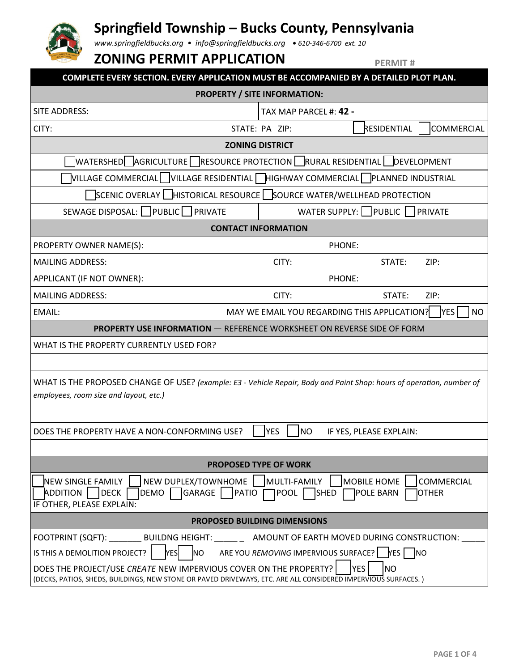

# **Springfield Township – Bucks County, Pennsylvania**

*www.springfieldbucks.org • info@springfieldbucks.org • <sup>610</sup>-346-6700 ext. 10* 

## **ZONING PERMIT APPLICATION**

**PERMIT #**

| COMPLETE EVERY SECTION. EVERY APPLICATION MUST BE ACCOMPANIED BY A DETAILED PLOT PLAN.                                                                                                                                                                |                                     |             |                   |  |  |  |
|-------------------------------------------------------------------------------------------------------------------------------------------------------------------------------------------------------------------------------------------------------|-------------------------------------|-------------|-------------------|--|--|--|
| <b>PROPERTY / SITE INFORMATION:</b>                                                                                                                                                                                                                   |                                     |             |                   |  |  |  |
| SITE ADDRESS:                                                                                                                                                                                                                                         | TAX MAP PARCEL #: 42 -              |             |                   |  |  |  |
| CITY:                                                                                                                                                                                                                                                 | STATE: PA ZIP:                      | RESIDENTIAL | <b>COMMERCIAL</b> |  |  |  |
| <b>ZONING DISTRICT</b>                                                                                                                                                                                                                                |                                     |             |                   |  |  |  |
| WATERSHED   AGRICULTURE   RESOURCE PROTECTION   RURAL RESIDENTIAL   DEVELOPMENT                                                                                                                                                                       |                                     |             |                   |  |  |  |
| VILLAGE COMMERCIAL VILLAGE RESIDENTIAL THIGHWAY COMMERCIAL PLANNED INDUSTRIAL                                                                                                                                                                         |                                     |             |                   |  |  |  |
| SCENIC OVERLAY   HISTORICAL RESOURCE   SOURCE WATER/WELLHEAD PROTECTION                                                                                                                                                                               |                                     |             |                   |  |  |  |
| SEWAGE DISPOSAL: PUBLIC PRIVATE                                                                                                                                                                                                                       | WATER SUPPLY:    PUBLIC     PRIVATE |             |                   |  |  |  |
| <b>CONTACT INFORMATION</b>                                                                                                                                                                                                                            |                                     |             |                   |  |  |  |
| PROPERTY OWNER NAME(S):                                                                                                                                                                                                                               | PHONE:                              |             |                   |  |  |  |
| <b>MAILING ADDRESS:</b>                                                                                                                                                                                                                               | CITY:                               | STATE:      | ZIP:              |  |  |  |
| APPLICANT (IF NOT OWNER):                                                                                                                                                                                                                             | PHONE:                              |             |                   |  |  |  |
| <b>MAILING ADDRESS:</b>                                                                                                                                                                                                                               | CITY:                               | STATE:      | ZIP:              |  |  |  |
| MAY WE EMAIL YOU REGARDING THIS APPLICATION?<br><b>YES</b><br>EMAIL:<br><b>NO</b>                                                                                                                                                                     |                                     |             |                   |  |  |  |
| <b>PROPERTY USE INFORMATION - REFERENCE WORKSHEET ON REVERSE SIDE OF FORM</b>                                                                                                                                                                         |                                     |             |                   |  |  |  |
| WHAT IS THE PROPERTY CURRENTLY USED FOR?                                                                                                                                                                                                              |                                     |             |                   |  |  |  |
|                                                                                                                                                                                                                                                       |                                     |             |                   |  |  |  |
| WHAT IS THE PROPOSED CHANGE OF USE? (example: E3 - Vehicle Repair, Body and Paint Shop: hours of operation, number of<br>employees, room size and layout, etc.)                                                                                       |                                     |             |                   |  |  |  |
|                                                                                                                                                                                                                                                       |                                     |             |                   |  |  |  |
| YES<br><b>NO</b><br>DOES THE PROPERTY HAVE A NON-CONFORMING USE?<br>IF YES, PLEASE EXPLAIN:                                                                                                                                                           |                                     |             |                   |  |  |  |
|                                                                                                                                                                                                                                                       |                                     |             |                   |  |  |  |
| <b>PROPOSED TYPE OF WORK</b>                                                                                                                                                                                                                          |                                     |             |                   |  |  |  |
| NEW DUPLEX/TOWNHOME<br>MULTI-FAMILY<br><b>NEW SINGLE FAMILY</b><br>MOBILE HOME<br><b>COMMERCIAL</b><br><b>ADDITION</b><br>DECK<br>GARAGE<br>PATIO<br>DEMO<br><b>SHED</b><br> POOL  <br><b>POLE BARN</b><br><b>JOTHER</b><br>IF OTHER, PLEASE EXPLAIN: |                                     |             |                   |  |  |  |
| <b>PROPOSED BUILDING DIMENSIONS</b>                                                                                                                                                                                                                   |                                     |             |                   |  |  |  |
| FOOTPRINT (SQFT):<br>BUILDNG HEIGHT: AMOUNT OF EARTH MOVED DURING CONSTRUCTION:                                                                                                                                                                       |                                     |             |                   |  |  |  |
| N <sub>O</sub><br><b>YES</b><br>ARE YOU REMOVING IMPERVIOUS SURFACE?   YES   NO<br>IS THIS A DEMOLITION PROJECT?                                                                                                                                      |                                     |             |                   |  |  |  |
| DOES THE PROJECT/USE CREATE NEW IMPERVIOUS COVER ON THE PROPERTY?<br><b>YES</b><br>N <sub>O</sub><br>(DECKS, PATIOS, SHEDS, BUILDINGS, NEW STONE OR PAVED DRIVEWAYS, ETC. ARE ALL CONSIDERED IMPERVIOUS SURFACES.)                                    |                                     |             |                   |  |  |  |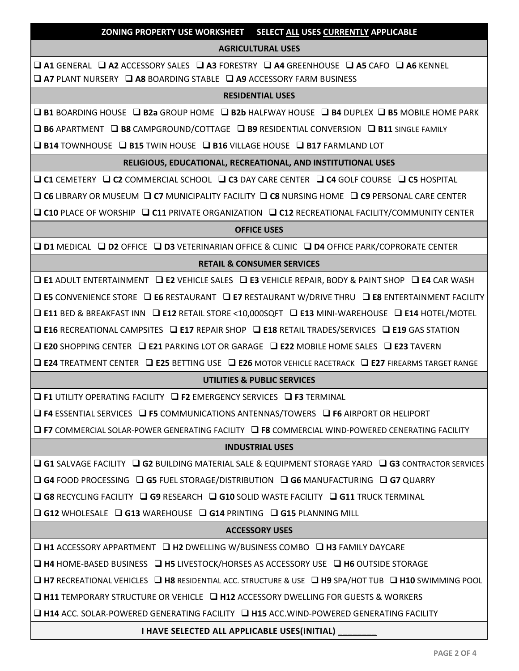**ZONING PROPERTY USE WORKSHEET — SELECT ALL USES CURRENTLY APPLICABLE**

#### **AGRICULTURAL USES**

❑ **A1** GENERAL ❑ **A2** ACCESSORY SALES ❑ **A3** FORESTRY ❑ **A4** GREENHOUSE ❑ **A5** CAFO ❑ **A6** KENNEL ❑ **A7** PLANT NURSERY ❑ **A8** BOARDING STABLE ❑ **A9** ACCESSORY FARM BUSINESS

#### **RESIDENTIAL USES**

❑ **B1** BOARDING HOUSE ❑ **B2a** GROUP HOME ❑ **B2b** HALFWAY HOUSE ❑ **B4** DUPLEX ❑ **B5** MOBILE HOME PARK

❑ **B6** APARTMENT ❑ **B8** CAMPGROUND/COTTAGE ❑ **B9** RESIDENTIAL CONVERSION ❑ **B11** SINGLE FAMILY

❑ **B14** TOWNHOUSE ❑ **B15** TWIN HOUSE ❑ **B16** VILLAGE HOUSE ❑ **B17** FARMLAND LOT

#### **RELIGIOUS, EDUCATIONAL, RECREATIONAL, AND INSTITUTIONAL USES**

❑ **C1** CEMETERY ❑ **C2** COMMERCIAL SCHOOL ❑ **C3** DAY CARE CENTER ❑ **C4** GOLF COURSE ❑ **C5** HOSPITAL

❑ **C6** LIBRARY OR MUSEUM ❑ **C7** MUNICIPALITY FACILITY ❑ **C8** NURSING HOME ❑ **C9** PERSONAL CARE CENTER

❑ **C10** PLACE OF WORSHIP ❑ **C11** PRIVATE ORGANIZATION ❑ **C12** RECREATIONAL FACILITY/COMMUNITY CENTER

#### **OFFICE USES**

❑ **D1** MEDICAL ❑ **D2** OFFICE ❑ **D3** VETERINARIAN OFFICE & CLINIC ❑ **D4** OFFICE PARK/COPRORATE CENTER

#### **RETAIL & CONSUMER SERVICES**

❑ **E1** ADULT ENTERTAINMENT ❑ **E2** VEHICLE SALES ❑ **E3** VEHICLE REPAIR, BODY & PAINT SHOP ❑ **E4** CAR WASH ❑ **E5** CONVENIENCE STORE ❑ **E6** RESTAURANT ❑ **E7** RESTAURANT W/DRIVE THRU ❑ **E8** ENTERTAINMENT FACILITY ❑ **E11** BED & BREAKFAST INN ❑ **E12** RETAIL STORE <10,000SQFT ❑ **E13** MINI-WAREHOUSE ❑ **E14** HOTEL/MOTEL

❑ **E16** RECREATIONAL CAMPSITES ❑ **E17** REPAIR SHOP ❑ **E18** RETAIL TRADES/SERVICES ❑ **E19** GAS STATION

❑ **E20** SHOPPING CENTER ❑ **E21** PARKING LOT OR GARAGE ❑ **E22** MOBILE HOME SALES ❑ **E23** TAVERN

❑ **E24** TREATMENT CENTER ❑ **E25** BETTING USE ❑ **E26** MOTOR VEHICLE RACETRACK ❑ **E27** FIREARMS TARGET RANGE

## **UTILITIES & PUBLIC SERVICES**

❑ **F1** UTILITY OPERATING FACILITY ❑ **F2** EMERGENCY SERVICES ❑ **F3** TERMINAL

❑ **F4** ESSENTIAL SERVICES ❑ **F5** COMMUNICATIONS ANTENNAS/TOWERS ❑ **F6** AIRPORT OR HELIPORT

❑ **F7** COMMERCIAL SOLAR-POWER GENERATING FACILITY ❑ **F8** COMMERCIAL WIND-POWERED CENERATING FACILITY

## **INDUSTRIAL USES**

❑ **G1** SALVAGE FACILITY ❑ **G2** BUILDING MATERIAL SALE & EQUIPMENT STORAGE YARD ❑ **G3** CONTRACTOR SERVICES

❑ **G4** FOOD PROCESSING ❑ **G5** FUEL STORAGE/DISTRIBUTION ❑ **G6** MANUFACTURING ❑ **G7** QUARRY

❑ **G8** RECYCLING FACILITY ❑ **G9** RESEARCH ❑ **G10** SOLID WASTE FACILITY ❑ **G11** TRUCK TERMINAL

❑ **G12** WHOLESALE ❑ **G13** WAREHOUSE ❑ **G14** PRINTING ❑ **G15** PLANNING MILL

## **ACCESSORY USES**

❑ **H1** ACCESSORY APPARTMENT ❑ **H2** DWELLING W/BUSINESS COMBO ❑ **H3** FAMILY DAYCARE

❑ **H4** HOME-BASED BUSINESS ❑ **H5** LIVESTOCK/HORSES AS ACCESSORY USE ❑ **H6** OUTSIDE STORAGE

❑ **H7** RECREATIONAL VEHICLES ❑ **H8** RESIDENTIAL ACC. STRUCTURE & USE ❑ **H9** SPA/HOT TUB ❑ **H10** SWIMMING POOL

❑ **H11** TEMPORARY STRUCTURE OR VEHICLE ❑ **H12** ACCESSORY DWELLING FOR GUESTS & WORKERS

❑ **H14** ACC. SOLAR-POWERED GENERATING FACILITY ❑ **H15** ACC.WIND-POWERED GENERATING FACILITY

#### **I HAVE SELECTED ALL APPLICABLE USES(INITIAL) \_\_\_\_\_\_\_\_**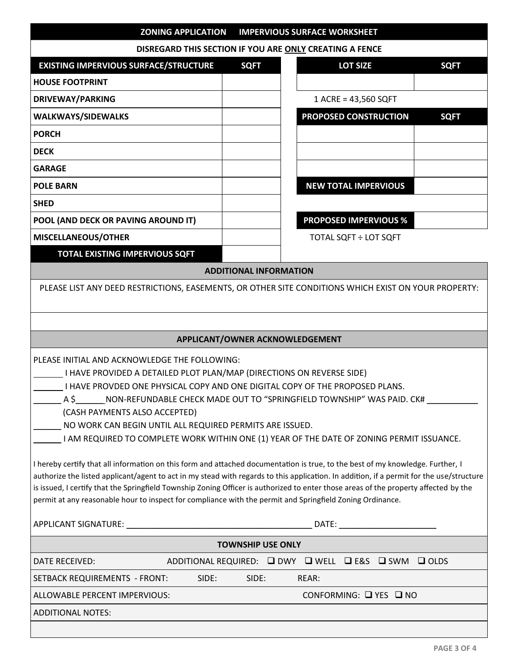| <b>ZONING APPLICATION</b>                                                                                                                                                                                                                                                                                                                                                                                                                                                                                                                                                                                                                                                                                                                                                                                                                                                                                                                                                                                                     |             | <b>IMPERVIOUS SURFACE WORKSHEET</b> |                                                                |             |  |  |
|-------------------------------------------------------------------------------------------------------------------------------------------------------------------------------------------------------------------------------------------------------------------------------------------------------------------------------------------------------------------------------------------------------------------------------------------------------------------------------------------------------------------------------------------------------------------------------------------------------------------------------------------------------------------------------------------------------------------------------------------------------------------------------------------------------------------------------------------------------------------------------------------------------------------------------------------------------------------------------------------------------------------------------|-------------|-------------------------------------|----------------------------------------------------------------|-------------|--|--|
| DISREGARD THIS SECTION IF YOU ARE ONLY CREATING A FENCE                                                                                                                                                                                                                                                                                                                                                                                                                                                                                                                                                                                                                                                                                                                                                                                                                                                                                                                                                                       |             |                                     |                                                                |             |  |  |
| <b>EXISTING IMPERVIOUS SURFACE/STRUCTURE</b>                                                                                                                                                                                                                                                                                                                                                                                                                                                                                                                                                                                                                                                                                                                                                                                                                                                                                                                                                                                  | <b>SQFT</b> |                                     | <b>LOT SIZE</b>                                                | <b>SQFT</b> |  |  |
| <b>HOUSE FOOTPRINT</b>                                                                                                                                                                                                                                                                                                                                                                                                                                                                                                                                                                                                                                                                                                                                                                                                                                                                                                                                                                                                        |             |                                     |                                                                |             |  |  |
| <b>DRIVEWAY/PARKING</b>                                                                                                                                                                                                                                                                                                                                                                                                                                                                                                                                                                                                                                                                                                                                                                                                                                                                                                                                                                                                       |             |                                     | 1 ACRE = 43,560 SQFT                                           |             |  |  |
| <b>WALKWAYS/SIDEWALKS</b>                                                                                                                                                                                                                                                                                                                                                                                                                                                                                                                                                                                                                                                                                                                                                                                                                                                                                                                                                                                                     |             |                                     | PROPOSED CONSTRUCTION                                          | <b>SQFT</b> |  |  |
| <b>PORCH</b>                                                                                                                                                                                                                                                                                                                                                                                                                                                                                                                                                                                                                                                                                                                                                                                                                                                                                                                                                                                                                  |             |                                     |                                                                |             |  |  |
| <b>DECK</b>                                                                                                                                                                                                                                                                                                                                                                                                                                                                                                                                                                                                                                                                                                                                                                                                                                                                                                                                                                                                                   |             |                                     |                                                                |             |  |  |
| <b>GARAGE</b>                                                                                                                                                                                                                                                                                                                                                                                                                                                                                                                                                                                                                                                                                                                                                                                                                                                                                                                                                                                                                 |             |                                     |                                                                |             |  |  |
| <b>POLE BARN</b>                                                                                                                                                                                                                                                                                                                                                                                                                                                                                                                                                                                                                                                                                                                                                                                                                                                                                                                                                                                                              |             |                                     | <b>NEW TOTAL IMPERVIOUS</b>                                    |             |  |  |
| <b>SHED</b>                                                                                                                                                                                                                                                                                                                                                                                                                                                                                                                                                                                                                                                                                                                                                                                                                                                                                                                                                                                                                   |             |                                     |                                                                |             |  |  |
| POOL (AND DECK OR PAVING AROUND IT)                                                                                                                                                                                                                                                                                                                                                                                                                                                                                                                                                                                                                                                                                                                                                                                                                                                                                                                                                                                           |             |                                     | <b>PROPOSED IMPERVIOUS %</b>                                   |             |  |  |
| MISCELLANEOUS/OTHER                                                                                                                                                                                                                                                                                                                                                                                                                                                                                                                                                                                                                                                                                                                                                                                                                                                                                                                                                                                                           |             |                                     | TOTAL SQFT ÷ LOT SQFT                                          |             |  |  |
| <b>TOTAL EXISTING IMPERVIOUS SQFT</b>                                                                                                                                                                                                                                                                                                                                                                                                                                                                                                                                                                                                                                                                                                                                                                                                                                                                                                                                                                                         |             |                                     |                                                                |             |  |  |
| <b>ADDITIONAL INFORMATION</b>                                                                                                                                                                                                                                                                                                                                                                                                                                                                                                                                                                                                                                                                                                                                                                                                                                                                                                                                                                                                 |             |                                     |                                                                |             |  |  |
| PLEASE LIST ANY DEED RESTRICTIONS, EASEMENTS, OR OTHER SITE CONDITIONS WHICH EXIST ON YOUR PROPERTY:                                                                                                                                                                                                                                                                                                                                                                                                                                                                                                                                                                                                                                                                                                                                                                                                                                                                                                                          |             |                                     |                                                                |             |  |  |
|                                                                                                                                                                                                                                                                                                                                                                                                                                                                                                                                                                                                                                                                                                                                                                                                                                                                                                                                                                                                                               |             |                                     |                                                                |             |  |  |
|                                                                                                                                                                                                                                                                                                                                                                                                                                                                                                                                                                                                                                                                                                                                                                                                                                                                                                                                                                                                                               |             |                                     |                                                                |             |  |  |
| APPLICANT/OWNER ACKNOWLEDGEMENT                                                                                                                                                                                                                                                                                                                                                                                                                                                                                                                                                                                                                                                                                                                                                                                                                                                                                                                                                                                               |             |                                     |                                                                |             |  |  |
| PLEASE INITIAL AND ACKNOWLEDGE THE FOLLOWING:<br>I HAVE PROVIDED A DETAILED PLOT PLAN/MAP (DIRECTIONS ON REVERSE SIDE)<br>I HAVE PROVDED ONE PHYSICAL COPY AND ONE DIGITAL COPY OF THE PROPOSED PLANS.<br>$\_$ NON-REFUNDABLE CHECK MADE OUT TO "SPRINGFIELD TOWNSHIP" WAS PAID. CK# $\,$<br>A S<br>(CASH PAYMENTS ALSO ACCEPTED)<br>NO WORK CAN BEGIN UNTIL ALL REQUIRED PERMITS ARE ISSUED.<br>I AM REQUIRED TO COMPLETE WORK WITHIN ONE (1) YEAR OF THE DATE OF ZONING PERMIT ISSUANCE.<br>I hereby certify that all information on this form and attached documentation is true, to the best of my knowledge. Further, I<br>authorize the listed applicant/agent to act in my stead with regards to this application. In addition, if a permit for the use/structure<br>is issued, I certify that the Springfield Township Zoning Officer is authorized to enter those areas of the property affected by the<br>permit at any reasonable hour to inspect for compliance with the permit and Springfield Zoning Ordinance. |             |                                     |                                                                |             |  |  |
|                                                                                                                                                                                                                                                                                                                                                                                                                                                                                                                                                                                                                                                                                                                                                                                                                                                                                                                                                                                                                               |             |                                     |                                                                |             |  |  |
| <b>TOWNSHIP USE ONLY</b>                                                                                                                                                                                                                                                                                                                                                                                                                                                                                                                                                                                                                                                                                                                                                                                                                                                                                                                                                                                                      |             |                                     |                                                                |             |  |  |
| DATE RECEIVED:                                                                                                                                                                                                                                                                                                                                                                                                                                                                                                                                                                                                                                                                                                                                                                                                                                                                                                                                                                                                                |             |                                     | ADDITIONAL REQUIRED: <b>O DWY O WELL DE&amp;S O SWM O OLDS</b> |             |  |  |
| SIDE:<br>SETBACK REQUIREMENTS - FRONT:                                                                                                                                                                                                                                                                                                                                                                                                                                                                                                                                                                                                                                                                                                                                                                                                                                                                                                                                                                                        | SIDE:       | REAR:                               |                                                                |             |  |  |
| ALLOWABLE PERCENT IMPERVIOUS:<br>CONFORMING: $\Box$ YES $\Box$ NO                                                                                                                                                                                                                                                                                                                                                                                                                                                                                                                                                                                                                                                                                                                                                                                                                                                                                                                                                             |             |                                     |                                                                |             |  |  |
| <b>ADDITIONAL NOTES:</b>                                                                                                                                                                                                                                                                                                                                                                                                                                                                                                                                                                                                                                                                                                                                                                                                                                                                                                                                                                                                      |             |                                     |                                                                |             |  |  |
|                                                                                                                                                                                                                                                                                                                                                                                                                                                                                                                                                                                                                                                                                                                                                                                                                                                                                                                                                                                                                               |             |                                     |                                                                |             |  |  |